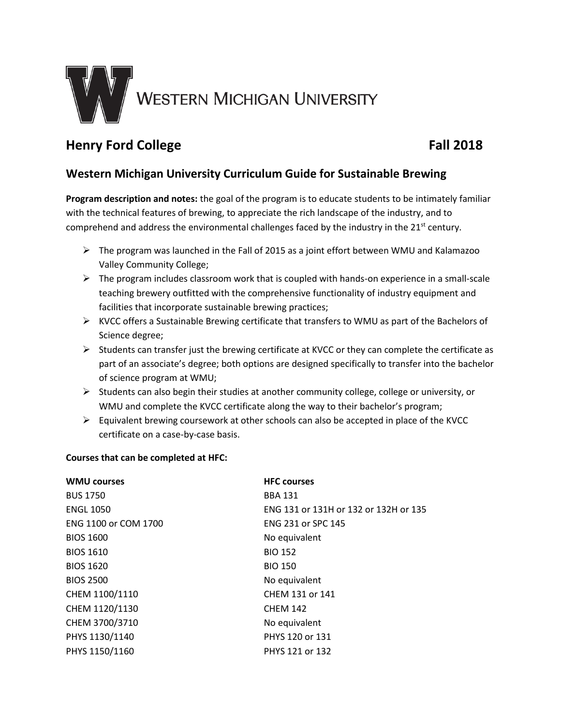

# **Henry Ford College Fall 2018**

## **Western Michigan University Curriculum Guide for Sustainable Brewing**

**Program description and notes:** the goal of the program is to educate students to be intimately familiar with the technical features of brewing, to appreciate the rich landscape of the industry, and to comprehend and address the environmental challenges faced by the industry in the 21<sup>st</sup> century.

- $\triangleright$  The program was launched in the Fall of 2015 as a joint effort between WMU and Kalamazoo Valley Community College;
- $\triangleright$  The program includes classroom work that is coupled with hands-on experience in a small-scale teaching brewery outfitted with the comprehensive functionality of industry equipment and facilities that incorporate sustainable brewing practices;
- $\triangleright$  KVCC offers a Sustainable Brewing certificate that transfers to WMU as part of the Bachelors of Science degree;
- $\triangleright$  Students can transfer just the brewing certificate at KVCC or they can complete the certificate as part of an associate's degree; both options are designed specifically to transfer into the bachelor of science program at WMU;
- $\triangleright$  Students can also begin their studies at another community college, college or university, or WMU and complete the KVCC certificate along the way to their bachelor's program;
- $\triangleright$  Equivalent brewing coursework at other schools can also be accepted in place of the KVCC certificate on a case-by-case basis.

### **Courses that can be completed at HFC:**

| <b>WMU courses</b>   | <b>HFC</b> courses                    |
|----------------------|---------------------------------------|
| <b>BUS 1750</b>      | <b>BBA 131</b>                        |
| <b>ENGL 1050</b>     | ENG 131 or 131H or 132 or 132H or 135 |
| ENG 1100 or COM 1700 | <b>ENG 231 or SPC 145</b>             |
| <b>BIOS 1600</b>     | No equivalent                         |
| <b>BIOS 1610</b>     | <b>BIO 152</b>                        |
| <b>BIOS 1620</b>     | <b>BIO 150</b>                        |
| <b>BIOS 2500</b>     | No equivalent                         |
| CHEM 1100/1110       | CHEM 131 or 141                       |
| CHEM 1120/1130       | <b>CHEM 142</b>                       |
| CHEM 3700/3710       | No equivalent                         |
| PHYS 1130/1140       | PHYS 120 or 131                       |
| PHYS 1150/1160       | PHYS 121 or 132                       |